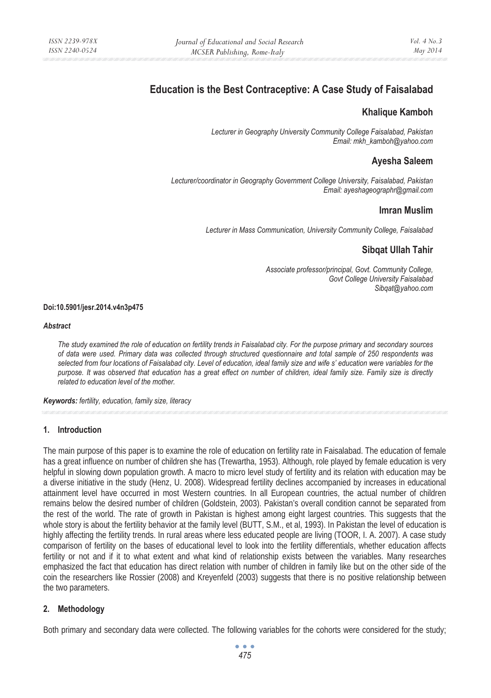# **Education is the Best Contraceptive: A Case Study of Faisalabad**

## **Khalique Kamboh**

*Lecturer in Geography University Community College Faisalabad, Pakistan Email: mkh\_kamboh@yahoo.com* 

## **Ayesha Saleem**

*Lecturer/coordinator in Geography Government College University, Faisalabad, Pakistan Email: ayeshageographr@gmail.com* 

### **Imran Muslim**

*Lecturer in Mass Communication, University Community College, Faisalabad* 

# **Sibqat Ullah Tahir**

*Associate professor/principal, Govt. Community College, Govt College University Faisalabad Sibqat@yahoo.com* 

#### **Doi:10.5901/jesr.2014.v4n3p475**

#### *Abstract*

*The study examined the role of education on fertility trends in Faisalabad city. For the purpose primary and secondary sources of data were used. Primary data was collected through structured questionnaire and total sample of 250 respondents was selected from four locations of Faisalabad city. Level of education, ideal family size and wife s' education were variables for the purpose. It was observed that education has a great effect on number of children, ideal family size. Family size is directly related to education level of the mother.* 

*Keywords: fertility, education, family size, literacy* 

### **1. Introduction**

The main purpose of this paper is to examine the role of education on fertility rate in Faisalabad. The education of female has a great influence on number of children she has (Trewartha, 1953). Although, role played by female education is very helpful in slowing down population growth. A macro to micro level study of fertility and its relation with education may be a diverse initiative in the study (Henz, U. 2008). Widespread fertility declines accompanied by increases in educational attainment level have occurred in most Western countries. In all European countries, the actual number of children remains below the desired number of children (Goldstein, 2003). Pakistan's overall condition cannot be separated from the rest of the world. The rate of growth in Pakistan is highest among eight largest countries. This suggests that the whole story is about the fertility behavior at the family level (BUTT, S.M., et al, 1993). In Pakistan the level of education is highly affecting the fertility trends. In rural areas where less educated people are living (TOOR, I. A. 2007). A case study comparison of fertility on the bases of educational level to look into the fertility differentials, whether education affects fertility or not and if it to what extent and what kind of relationship exists between the variables. Many researches emphasized the fact that education has direct relation with number of children in family like but on the other side of the coin the researchers like Rossier (2008) and Kreyenfeld (2003) suggests that there is no positive relationship between the two parameters.

### **2. Methodology**

Both primary and secondary data were collected. The following variables for the cohorts were considered for the study;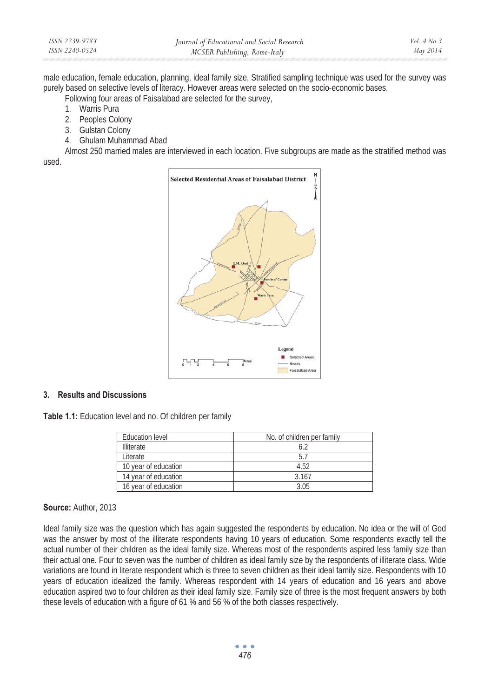male education, female education, planning, ideal family size, Stratified sampling technique was used for the survey was purely based on selective levels of literacy. However areas were selected on the socio-economic bases.

Following four areas of Faisalabad are selected for the survey,

- 1. Warris Pura
- 2. Peoples Colony
- 3. Gulstan Colony
- 4. Ghulam Muhammad Abad

Almost 250 married males are interviewed in each location. Five subgroups are made as the stratified method was used.



### **3. Results and Discussions**

**Table 1.1:** Education level and no. Of children per family

| Education level      | No. of children per family |  |  |
|----------------------|----------------------------|--|--|
| <b>Illiterate</b>    |                            |  |  |
| Literate             | 57                         |  |  |
| 10 year of education | 4.52                       |  |  |
| 14 year of education | 3.167                      |  |  |
| 16 year of education | 3.05                       |  |  |

### **Source:** Author, 2013

Ideal family size was the question which has again suggested the respondents by education. No idea or the will of God was the answer by most of the illiterate respondents having 10 years of education. Some respondents exactly tell the actual number of their children as the ideal family size. Whereas most of the respondents aspired less family size than their actual one. Four to seven was the number of children as ideal family size by the respondents of illiterate class. Wide variations are found in literate respondent which is three to seven children as their ideal family size. Respondents with 10 years of education idealized the family. Whereas respondent with 14 years of education and 16 years and above education aspired two to four children as their ideal family size. Family size of three is the most frequent answers by both these levels of education with a figure of 61 % and 56 % of the both classes respectively.